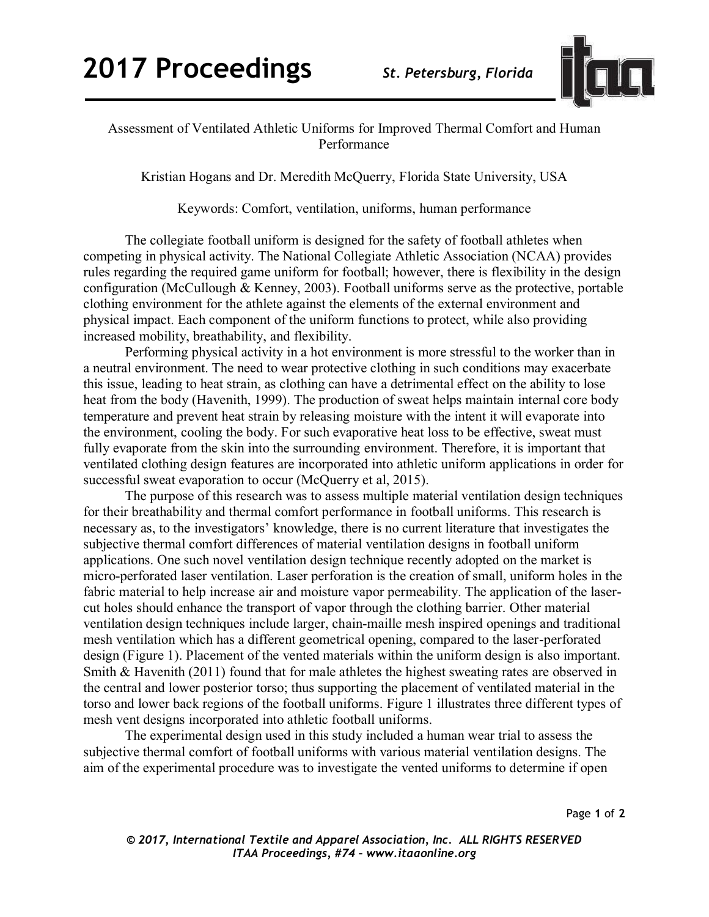

## Assessment of Ventilated Athletic Uniforms for Improved Thermal Comfort and Human Performance

Kristian Hogans and Dr. Meredith McQuerry, Florida State University, USA

Keywords: Comfort, ventilation, uniforms, human performance

The collegiate football uniform is designed for the safety of football athletes when competing in physical activity. The National Collegiate Athletic Association (NCAA) provides rules regarding the required game uniform for football; however, there is flexibility in the design configuration (McCullough & Kenney, 2003). Football uniforms serve as the protective, portable clothing environment for the athlete against the elements of the external environment and physical impact. Each component of the uniform functions to protect, while also providing increased mobility, breathability, and flexibility.

Performing physical activity in a hot environment is more stressful to the worker than in a neutral environment. The need to wear protective clothing in such conditions may exacerbate this issue, leading to heat strain, as clothing can have a detrimental effect on the ability to lose heat from the body (Havenith, 1999). The production of sweat helps maintain internal core body temperature and prevent heat strain by releasing moisture with the intent it will evaporate into the environment, cooling the body. For such evaporative heat loss to be effective, sweat must fully evaporate from the skin into the surrounding environment. Therefore, it is important that ventilated clothing design features are incorporated into athletic uniform applications in order for successful sweat evaporation to occur (McQuerry et al, 2015).

The purpose of this research was to assess multiple material ventilation design techniques for their breathability and thermal comfort performance in football uniforms. This research is necessary as, to the investigators' knowledge, there is no current literature that investigates the subjective thermal comfort differences of material ventilation designs in football uniform applications. One such novel ventilation design technique recently adopted on the market is micro-perforated laser ventilation. Laser perforation is the creation of small, uniform holes in the fabric material to help increase air and moisture vapor permeability. The application of the lasercut holes should enhance the transport of vapor through the clothing barrier. Other material ventilation design techniques include larger, chain-maille mesh inspired openings and traditional mesh ventilation which has a different geometrical opening, compared to the laser-perforated design (Figure 1). Placement of the vented materials within the uniform design is also important. Smith & Havenith (2011) found that for male athletes the highest sweating rates are observed in the central and lower posterior torso; thus supporting the placement of ventilated material in the torso and lower back regions of the football uniforms. Figure 1 illustrates three different types of mesh vent designs incorporated into athletic football uniforms.

The experimental design used in this study included a human wear trial to assess the subjective thermal comfort of football uniforms with various material ventilation designs. The aim of the experimental procedure was to investigate the vented uniforms to determine if open

*© 2017, International Textile and Apparel Association, Inc. ALL RIGHTS RESERVED ITAA Proceedings, #74 – www.itaaonline.org*